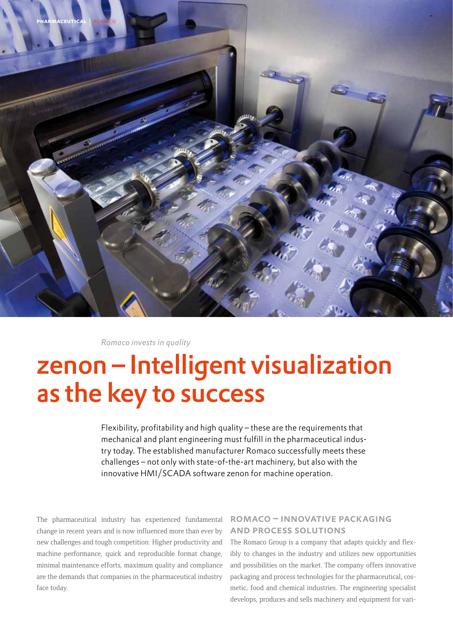

*Romaco invests in quality*

# zenon – Intelligent visualization as the key to success

Flexibility, profitability and high quality – these are the requirements that mechanical and plant engineering must fulfill in the pharmaceutical industry today. The established manufacturer Romaco successfully meets these challenges – not only with state-of-the-art machinery, but also with the innovative HMI/SCADA software zenon for machine operation.

The pharmaceutical industry has experienced fundamental change in recent years and is now influenced more than ever by new challenges and tough competition. Higher productivity and machine performance, quick and reproducible format change, minimal maintenance efforts, maximum quality and compliance are the demands that companies in the pharmaceutical industry face today.

## romaco – innovative packaging and process solutions

The Romaco Group is a company that adapts quickly and flexibly to changes in the industry and utilizes new opportunities and possibilities on the market. The company offers innovative packaging and process technologies for the pharmaceutical, cosmetic, food and chemical industries. The engineering specialist develops, produces and sells machinery and equipment for vari-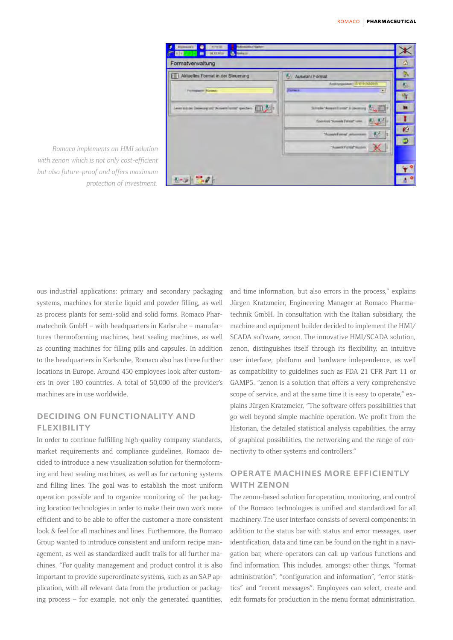

*Romaco implements an HMI solution with zenon which is not only cost-efficient but also future-proof and offers maximum protection of investment.*

ous industrial applications: primary and secondary packaging systems, machines for sterile liquid and powder filling, as well as process plants for semi-solid and solid forms. Romaco Pharmatechnik GmbH – with headquarters in Karlsruhe – manufactures thermoforming machines, heat sealing machines, as well as counting machines for filling pills and capsules. In addition to the headquarters in Karlsruhe, Romaco also has three further locations in Europe. Around 450 employees look after customers in over 180 countries. A total of 50,000 of the provider's machines are in use worldwide.

#### deciding on functionality and **FLEXIBILITY**

In order to continue fulfilling high-quality company standards, market requirements and compliance guidelines, Romaco decided to introduce a new visualization solution for thermoforming and heat sealing machines, as well as for cartoning systems and filling lines. The goal was to establish the most uniform operation possible and to organize monitoring of the packaging location technologies in order to make their own work more efficient and to be able to offer the customer a more consistent look & feel for all machines and lines. Furthermore, the Romaco Group wanted to introduce consistent and uniform recipe management, as well as standardized audit trails for all further machines. "For quality management and product control it is also important to provide superordinate systems, such as an SAP application, with all relevant data from the production or packaging process – for example, not only the generated quantities,

and time information, but also errors in the process," explains Jürgen Kratzmeier, Engineering Manager at Romaco Pharmatechnik GmbH. In consultation with the Italian subsidiary, the machine and equipment builder decided to implement the HMI/ SCADA software, zenon. The innovative HMI/SCADA solution, zenon, distinguishes itself through its flexibility, an intuitive user interface, platform and hardware independence, as well as compatibility to guidelines such as FDA 21 CFR Part 11 or GAMP5. "zenon is a solution that offers a very comprehensive scope of service, and at the same time it is easy to operate," explains Jürgen Kratzmeier, "The software offers possibilities that go well beyond simple machine operation. We profit from the Historian, the detailed statistical analysis capabilities, the array of graphical possibilities, the networking and the range of connectivity to other systems and controllers."

#### operate machines more efficiently WITH ZENON

The zenon-based solution for operation, monitoring, and control of the Romaco technologies is unified and standardized for all machinery. The user interface consists of several components: in addition to the status bar with status and error messages, user identification, data and time can be found on the right in a navigation bar, where operators can call up various functions and find information. This includes, amongst other things, "format administration", "configuration and information", "error statistics" and "recent messages". Employees can select, create and edit formats for production in the menu format administration.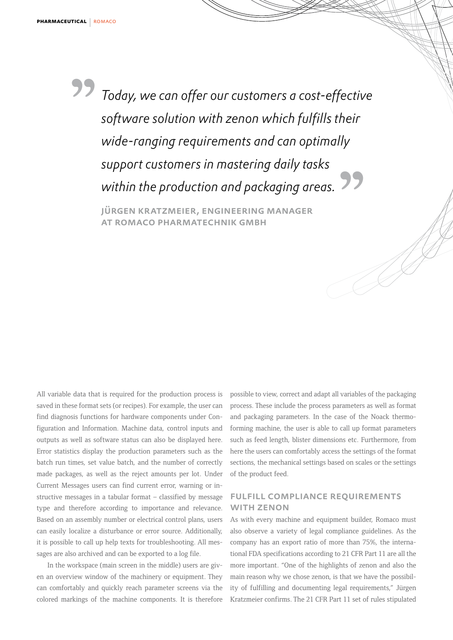*Today, we can offer our customers a cost-effective software solution with zenon which fulfills their wide-ranging requirements and can optimally support customers in mastering daily tasks within the production and packaging areas.* **""**

jürgen kratzmeier, engineering manager at romaco pharmatechnik gmbh

All variable data that is required for the production process is saved in these format sets (or recipes). For example, the user can find diagnosis functions for hardware components under Configuration and Information. Machine data, control inputs and outputs as well as software status can also be displayed here. Error statistics display the production parameters such as the batch run times, set value batch, and the number of correctly made packages, as well as the reject amounts per lot. Under Current Messages users can find current error, warning or instructive messages in a tabular format – classified by message type and therefore according to importance and relevance. Based on an assembly number or electrical control plans, users can easily localize a disturbance or error source. Additionally, it is possible to call up help texts for troubleshooting. All messages are also archived and can be exported to a log file.

In the workspace (main screen in the middle) users are given an overview window of the machinery or equipment. They can comfortably and quickly reach parameter screens via the colored markings of the machine components. It is therefore possible to view, correct and adapt all variables of the packaging process. These include the process parameters as well as format and packaging parameters. In the case of the Noack thermoforming machine, the user is able to call up format parameters such as feed length, blister dimensions etc. Furthermore, from here the users can comfortably access the settings of the format sections, the mechanical settings based on scales or the settings of the product feed.

J<br>L

### fulfill compliance requirements with zenon

As with every machine and equipment builder, Romaco must also observe a variety of legal compliance guidelines. As the company has an export ratio of more than 75%, the international FDA specifications according to 21 CFR Part 11 are all the more important. "One of the highlights of zenon and also the main reason why we chose zenon, is that we have the possibility of fulfilling and documenting legal requirements," Jürgen Kratzmeier confirms. The 21 CFR Part 11 set of rules stipulated